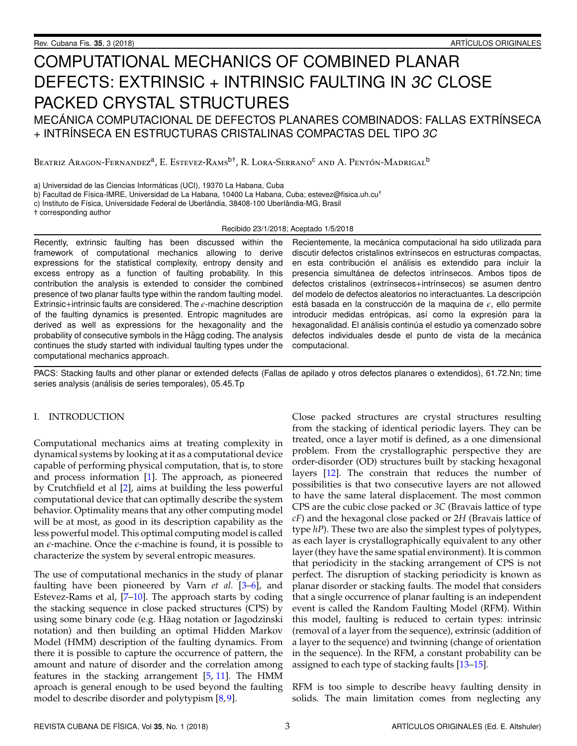# COMPUTATIONAL MECHANICS OF COMBINED PLANAR DEFECTS: EXTRINSIC + INTRINSIC FAULTING IN 3C CLOSE PACKED CRYSTAL STRUCTURES

MECÁNICA COMPUTACIONAL DE DEFECTOS PLANARES COMBINADOS: FALLAS EXTRÍNSECA + INTRINSECA EN ESTRUCTURAS CRISTALINAS COMPACTAS DEL TIPO 3C

Beatriz Aragon-Fernandez<sup>a</sup>, E. Estevez-Rams<sup>b†</sup>, R. Lora-Serrano<sup>c</sup> and A. Pentón-Madrigal<sup>b</sup>

a) Universidad de las Ciencias Informaticas (UCI), 19370 La Habana, Cuba ´

b) Facultad de Física-IMRE, Universidad de La Habana, 10400 La Habana, Cuba; estevez@fisica.uh.cu<sup>†</sup>

c) Instituto de Física, Universidade Federal de Uberlândia, 38408-100 Uberlândia-MG, Brasil

† corresponding author

Recibido 23/1/2018; Aceptado 1/5/2018

Recently, extrinsic faulting has been discussed within the framework of computational mechanics allowing to derive expressions for the statistical complexity, entropy density and excess entropy as a function of faulting probability. In this contribution the analysis is extended to consider the combined presence of two planar faults type within the random faulting model. Extrinsic+intrinsic faults are considered. The  $\epsilon$ -machine description of the faulting dynamics is presented. Entropic magnitudes are derived as well as expressions for the hexagonality and the probability of consecutive symbols in the Hägg coding. The analysis continues the study started with individual faulting types under the computational mechanics approach.

Recientemente, la mecánica computacional ha sido utilizada para discutir defectos cristalinos extrínsecos en estructuras compactas, en esta contribución el análisis es extendido para incluir la presencia simultánea de defectos intrínsecos. Ambos tipos de defectos cristalinos (extrínsecos+intrínsecos) se asumen dentro del modelo de defectos aleatorios no interactuantes. La descripción está basada en la construcción de la maquina de  $\epsilon$ , ello permite introducir medidas entrópicas, así como la expresión para la hexagonalidad. El análisis continúa el estudio ya comenzado sobre defectos individuales desde el punto de vista de la mecánica computacional.

PACS: Stacking faults and other planar or extended defects (Fallas de apilado y otros defectos planares o extendidos), 61.72.Nn; time series analysis (análisis de series temporales), 05.45.Tp

#### I. INTRODUCTION

Computational mechanics aims at treating complexity in dynamical systems by looking at it as a computational device capable of performing physical computation, that is, to store and process information [\[1\]](#page-6-0). The approach, as pioneered by Crutchfield et al [\[2\]](#page-6-1), aims at building the less powerful computational device that can optimally describe the system behavior. Optimality means that any other computing model will be at most, as good in its description capability as the less powerful model. This optimal computing model is called an  $\epsilon$ -machine. Once the  $\epsilon$ -machine is found, it is possible to characterize the system by several entropic measures.

The use of computational mechanics in the study of planar faulting have been pioneered by Varn *et al.* [\[3–](#page-6-2)[6\]](#page-6-3), and Estevez-Rams et al, [\[7](#page-6-4)[–10\]](#page-6-5). The approach starts by coding the stacking sequence in close packed structures (CPS) by using some binary code (e.g. Häag notation or Jagodzinski notation) and then building an optimal Hidden Markov Model (HMM) description of the faulting dynamics. From there it is possible to capture the occurrence of pattern, the amount and nature of disorder and the correlation among features in the stacking arrangement  $[5, 11]$  $[5, 11]$  $[5, 11]$ . The HMM aproach is general enough to be used beyond the faulting model to describe disorder and polytypism [\[8,](#page-6-8)[9\]](#page-6-9).

Close packed structures are crystal structures resulting from the stacking of identical periodic layers. They can be treated, once a layer motif is defined, as a one dimensional problem. From the crystallographic perspective they are order-disorder (OD) structures built by stacking hexagonal layers [\[12\]](#page-6-10). The constrain that reduces the number of possibilities is that two consecutive layers are not allowed to have the same lateral displacement. The most common CPS are the cubic close packed or *3C* (Bravais lattice of type *cF*) and the hexagonal close packed or 2*H* (Bravais lattice of type *hP*). These two are also the simplest types of polytypes, as each layer is crystallographically equivalent to any other layer (they have the same spatial environment). It is common that periodicity in the stacking arrangement of CPS is not perfect. The disruption of stacking periodicity is known as planar disorder or stacking faults. The model that considers that a single occurrence of planar faulting is an independent event is called the Random Faulting Model (RFM). Within this model, faulting is reduced to certain types: intrinsic (removal of a layer from the sequence), extrinsic (addition of a layer to the sequence) and twinning (change of orientation in the sequence). In the RFM, a constant probability can be assigned to each type of stacking faults [\[13–](#page-6-11)[15\]](#page-6-12).

RFM is too simple to describe heavy faulting density in solids. The main limitation comes from neglecting any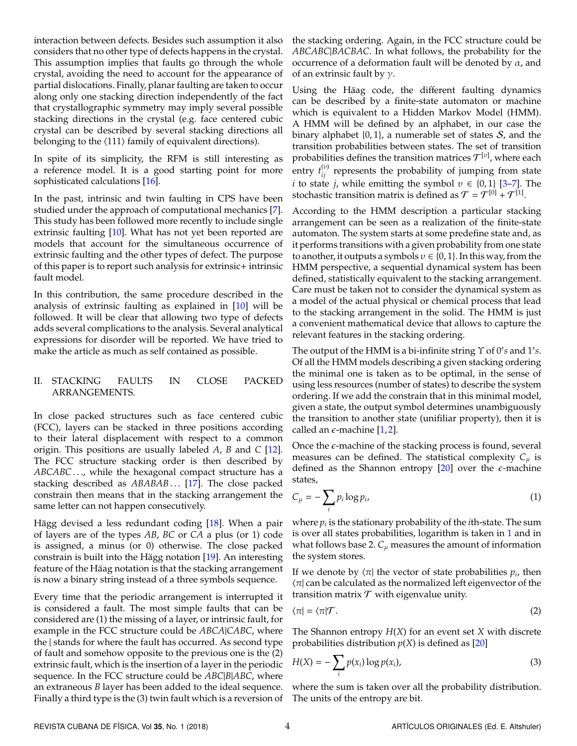interaction between defects. Besides such assumption it also considers that no other type of defects happens in the crystal. This assumption implies that faults go through the whole crystal, avoiding the need to account for the appearance of partial dislocations. Finally, planar faulting are taken to occur along only one stacking direction independently of the fact that crystallographic symmetry may imply several possible stacking directions in the crystal (e.g. face centered cubic crystal can be described by several stacking directions all belonging to the  $\langle 111 \rangle$  family of equivalent directions).

In spite of its simplicity, the RFM is still interesting as a reference model. It is a good starting point for more sophisticated calculations [\[16\]](#page-6-13).

In the past, intrinsic and twin faulting in CPS have been studied under the approach of computational mechanics [\[7\]](#page-6-4). This study has been followed more recently to include single extrinsic faulting [\[10\]](#page-6-5). What has not yet been reported are models that account for the simultaneous occurrence of extrinsic faulting and the other types of defect. The purpose of this paper is to report such analysis for extrinsic+ intrinsic fault model.

In this contribution, the same procedure described in the analysis of extrinsic faulting as explained in [\[10\]](#page-6-5) will be followed. It will be clear that allowing two type of defects adds several complications to the analysis. Several analytical expressions for disorder will be reported. We have tried to make the article as much as self contained as possible.

# II. STACKING FAULTS IN CLOSE PACKED ARRANGEMENTS.

In close packed structures such as face centered cubic (FCC), layers can be stacked in three positions according to their lateral displacement with respect to a common origin. This positions are usually labeled *A*, *B* and *C* [\[12\]](#page-6-10). The FCC structure stacking order is then described by ABCABC..., while the hexagonal compact structure has a stacking described as *ABABAB* ... [\[17\]](#page-6-14). The close packed constrain then means that in the stacking arrangement the same letter can not happen consecutively.

Hägg devised a less redundant coding  $[18]$  $[18]$ . When a pair of layers are of the types *AB*, *BC* or *CA* a plus (or 1) code is assigned, a minus (or 0) otherwise. The close packed constrain is built into the Hägg notation  $[19]$  $[19]$ . An interesting feature of the Häag notation is that the stacking arrangement is now a binary string instead of a three symbols sequence.

Every time that the periodic arrangement is interrupted it is considered a fault. The most simple faults that can be considered are (1) the missing of a layer, or intrinsic fault, for example in the FCC structure could be *ABCA*|*CABC*, where the | stands for where the fault has occurred. As second type of fault and somehow opposite to the previous one is the (2) extrinsic fault, which is the insertion of a layer in the periodic sequence. In the FCC structure could be *ABC*|*B*|*ABC*, where an extraneous *B* layer has been added to the ideal sequence. Finally a third type is the (3) twin fault which is a reversion of the stacking ordering. Again, in the FCC structure could be *ABCABC*|*BACBAC*. In what follows, the probability for the occurrence of a deformation fault will be denoted by  $\alpha$ , and of an extrinsic fault by  $\gamma$ .

Using the Häag code, the different faulting dynamics can be described by a finite-state automaton or machine which is equivalent to a Hidden Markov Model (HMM). A HMM will be defined by an alphabet, in our case the binary alphabet  $\{0, 1\}$ , a numerable set of states S, and the transition probabilities between states. The set of transition probabilities defines the transition matrices  $\mathcal{T}^{[\nu]}$ , where each entry  $t_{ij}^{(v)}$  represents the probability of jumping from state *i* to state *j*, while emitting the symbol  $v \in \{0, 1\}$  [\[3](#page-6-2)[–7\]](#page-6-4). The stochastic transition matrix is defined as  $\mathcal{T} = \mathcal{T}^{[0]} + \mathcal{T}^{[1]}$ .

According to the HMM description a particular stacking arrangement can be seen as a realization of the finite-state automaton. The system starts at some predefine state and, as it performs transitions with a given probability from one state to another, it outputs a symbols  $v \in \{0, 1\}$ . In this way, from the HMM perspective, a sequential dynamical system has been defined, statistically equivalent to the stacking arrangement. Care must be taken not to consider the dynamical system as a model of the actual physical or chemical process that lead to the stacking arrangement in the solid. The HMM is just a convenient mathematical device that allows to capture the relevant features in the stacking ordering.

The output of the HMM is a bi-infinite string  $\Upsilon$  of 0's and 1's. Of all the HMM models describing a given stacking ordering the minimal one is taken as to be optimal, in the sense of using less resources (number of states) to describe the system ordering. If we add the constrain that in this minimal model, given a state, the output symbol determines unambiguously the transition to another state (unifiliar property), then it is called an  $\epsilon$ -machine [\[1,](#page-6-0)[2\]](#page-6-1).

Once the  $\epsilon$ -machine of the stacking process is found, several measures can be defined. The statistical complexity  $C_{\mu}$  is defined as the Shannon entropy  $[20]$  over the  $\epsilon$ -machine states,

<span id="page-1-0"></span>
$$
C_{\mu} = -\sum_{i} p_i \log p_i, \tag{1}
$$

where *p<sup>i</sup>* is the stationary probability of the *i*th-state. The sum is over all states probabilities, logarithm is taken in [1](#page-1-0) and in what follows base 2.  $C_{\mu}$  measures the amount of information the system stores.

If we denote by  $\langle \pi |$  the vector of state probabilities  $p_i$ , then  $\pi$  can be calculated as the normalized left eigenvector of the transition matrix  $T$  with eigenvalue unity.

<span id="page-1-2"></span>
$$
\langle \pi | = \langle \pi | \mathcal{T}. \tag{2}
$$

<span id="page-1-1"></span>The Shannon entropy *H*(*X*) for an event set *X* with discrete probabilities distribution  $p(X)$  is defined as  $[20]$ 

$$
H(X) = -\sum_{i} p(x_i) \log p(x_i), \qquad (3)
$$

where the sum is taken over all the probability distribution. The units of the entropy are bit.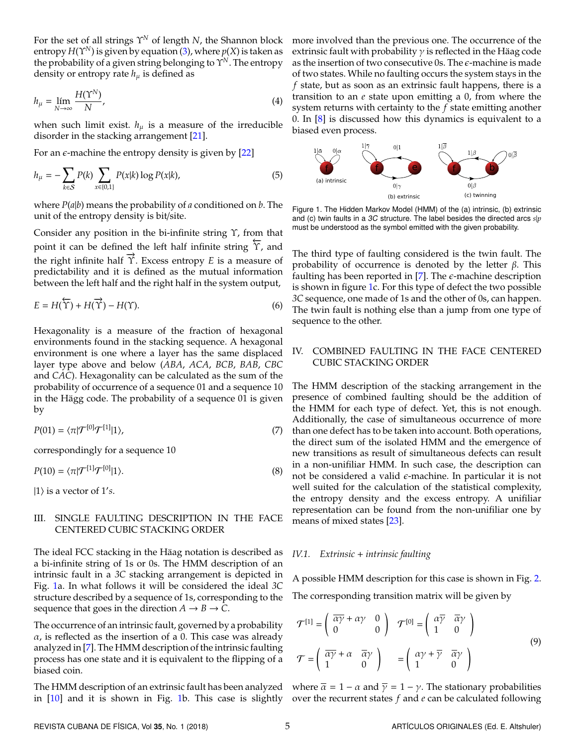For the set of all strings Υ*<sup>N</sup>* of length *N*, the Shannon block entropy  $H(\Upsilon^N)$  is given by equation [\(3\)](#page-1-1), where  $p(X)$  is taken as the probability of a given string belonging to Υ*<sup>N</sup>*. The entropy density or entropy rate  $h_{\mu}$  is defined as

$$
h_{\mu} = \lim_{N \to \infty} \frac{H(\Upsilon^N)}{N},\tag{4}
$$

when such limit exist.  $h_{\mu}$  is a measure of the irreducible disorder in the stacking arrangement [\[21\]](#page-6-18).

For an  $\epsilon$ -machine the entropy density is given by [\[22\]](#page-6-19)

$$
h_{\mu} = -\sum_{k \in S} P(k) \sum_{x \in \{0,1\}} P(x|k) \log P(x|k), \tag{5}
$$

where *P*(*a*|*b*) means the probability of *a* conditioned on *b*. The unit of the entropy density is bit/site.

Consider any position in the bi-infinite string Υ, from that point it can be defined the left half infinite string  $\overline{Y}$ , and the right infinite half  $\overrightarrow{Y}$ . Excess entropy *E* is a measure of predictability and it is defined as the mutual information between the left half and the right half in the system output,

$$
E = H(\overleftarrow{\Upsilon}) + H(\overrightarrow{\Upsilon}) - H(\Upsilon).
$$
 (6)

Hexagonality is a measure of the fraction of hexagonal environments found in the stacking sequence. A hexagonal environment is one where a layer has the same displaced layer type above and below (*ABA*, *ACA*, *BCB*, *BAB*, *CBC* and *CAC*). Hexagonality can be calculated as the sum of the probability of occurrence of a sequence 01 and a sequence 10 in the Hägg code. The probability of a sequence 01 is given by

<span id="page-2-1"></span>
$$
P(01) = \langle \pi | \mathcal{T}^{[0]} \mathcal{T}^{[1]} | 1 \rangle, \tag{7}
$$

correspondingly for a sequence 10

$$
P(10) = \langle \pi | \mathcal{T}^{[1]} \mathcal{T}^{[0]} | 1 \rangle. \tag{8}
$$

 $|1\rangle$  is a vector of 1's.

# III. SINGLE FAULTING DESCRIPTION IN THE FACE CENTERED CUBIC STACKING ORDER

The ideal FCC stacking in the Häag notation is described as a bi-infinite string of 1s or 0s. The HMM description of an intrinsic fault in a *3C* stacking arrangement is depicted in Fig. [1a](#page-2-0). In what follows it will be considered the ideal *3C* structure described by a sequence of 1s, corresponding to the sequence that goes in the direction  $A \rightarrow B \rightarrow C$ .

The occurrence of an intrinsic fault, governed by a probability  $\alpha$ , is reflected as the insertion of a 0. This case was already analyzed in [\[7\]](#page-6-4). The HMM description of the intrinsic faulting process has one state and it is equivalent to the flipping of a biased coin.

more involved than the previous one. The occurrence of the extrinsic fault with probability  $\gamma$  is reflected in the Häag code as the insertion of two consecutive 0s. The  $\epsilon$ -machine is made of two states. While no faulting occurs the system stays in the *f* state, but as soon as an extrinsic fault happens, there is a transition to an *e* state upon emitting a 0, from where the system returns with certainty to the *f* state emitting another 0. In  $[8]$  is discussed how this dynamics is equivalent to a biased even process.

<span id="page-2-0"></span>

Figure 1. The Hidden Markov Model (HMM) of the (a) intrinsic, (b) extrinsic and (c) twin faults in a 3C structure. The label besides the directed arcs *s*|*p* must be understood as the symbol emitted with the given probability.

The third type of faulting considered is the twin fault. The probability of occurrence is denoted by the letter  $β$ . This faulting has been reported in [\[7\]](#page-6-4). The  $\epsilon$ -machine description is shown in figure [1c](#page-2-0). For this type of defect the two possible *3C* sequence, one made of 1s and the other of 0s, can happen. The twin fault is nothing else than a jump from one type of sequence to the other.

# IV. COMBINED FAULTING IN THE FACE CENTERED CUBIC STACKING ORDER

<span id="page-2-2"></span>The HMM description of the stacking arrangement in the presence of combined faulting should be the addition of the HMM for each type of defect. Yet, this is not enough. Additionally, the case of simultaneous occurrence of more than one defect has to be taken into account. Both operations, the direct sum of the isolated HMM and the emergence of new transitions as result of simultaneous defects can result in a non-unifiliar HMM. In such case, the description can not be considered a valid  $\epsilon$ -machine. In particular it is not well suited for the calculation of the statistical complexity, the entropy density and the excess entropy. A unifiliar representation can be found from the non-unifiliar one by means of mixed states [\[23\]](#page-6-20).

#### *IV.1. Extrinsic* + *intrinsic faulting*

A possible HMM description for this case is shown in Fig. [2.](#page-3-0) The corresponding transition matrix will be given by

$$
\mathcal{T}^{[1]} = \begin{pmatrix} \overline{\alpha} \overline{\gamma} + \alpha \gamma & 0 \\ 0 & 0 \end{pmatrix} \quad \mathcal{T}^{[0]} = \begin{pmatrix} \alpha \overline{\gamma} & \overline{\alpha} \gamma \\ 1 & 0 \end{pmatrix}
$$

$$
\mathcal{T} = \begin{pmatrix} \overline{\alpha} \overline{\gamma} + \alpha & \overline{\alpha} \gamma \\ 1 & 0 \end{pmatrix} = \begin{pmatrix} \alpha \gamma + \overline{\gamma} & \overline{\alpha} \gamma \\ 1 & 0 \end{pmatrix}
$$
(9)

The HMM description of an extrinsic fault has been analyzed where  $\bar{a} = 1 - a$  and  $\bar{y} = 1 - \gamma$ . The stationary probabilities in [\[10\]](#page-6-5) and it is shown in Fig. [1b](#page-2-0). This case is slightly over the recurrent states *f* and *e* can be calculated following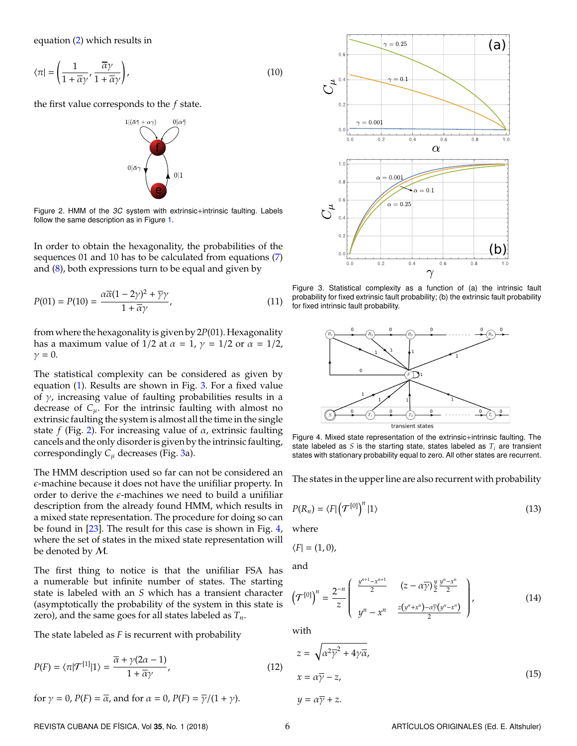equation [\(2\)](#page-1-2) which results in

$$
\langle \pi | = \left( \frac{1}{1 + \overline{\alpha}\gamma}, \frac{\overline{\alpha}\gamma}{1 + \overline{\alpha}\gamma} \right),\tag{10}
$$

<span id="page-3-0"></span>the first value corresponds to the *f* state.



Figure 2. HMM of the 3C system with extrinsic+intrinsic faulting. Labels follow the same description as in Figure [1.](#page-2-0)

In order to obtain the hexagonality, the probabilities of the sequences 01 and 10 has to be calculated from equations [\(7\)](#page-2-1) and [\(8\)](#page-2-2), both expressions turn to be equal and given by

$$
P(01) = P(10) = \frac{\alpha \overline{\alpha} (1 - 2\gamma)^2 + \overline{\gamma} \gamma}{1 + \overline{\alpha} \gamma},
$$
\n(11)

from where the hexagonality is given by 2*P*(01). Hexagonality has a maximum value of 1/2 at  $\alpha = 1$ ,  $\gamma = 1/2$  or  $\alpha = 1/2$ ,  $\nu = 0.$ 

The statistical complexity can be considered as given by equation [\(1\)](#page-1-0). Results are shown in Fig. [3.](#page-3-1) For a fixed value of  $\gamma$ , increasing value of faulting probabilities results in a decrease of  $C_{\mu}$ . For the intrinsic faulting with almost no extrinsic faulting the system is almost all the time in the single state *f* (Fig. [2\)](#page-3-0). For increasing value of  $\alpha$ , extrinsic faulting cancels and the only disorder is given by the intrinsic faulting, correspondingly  $C_{\mu}$  decreases (Fig. [3a](#page-3-1)).

The HMM description used so far can not be considered an  $\epsilon$ -machine because it does not have the unifiliar property. In order to derive the  $\epsilon$ -machines we need to build a unifiliar description from the already found HMM, which results in a mixed state representation. The procedure for doing so can be found in [\[23\]](#page-6-20). The result for this case is shown in Fig. [4,](#page-3-2) where the set of states in the mixed state representation will be denoted by M.

The first thing to notice is that the unifiliar FSA has a numerable but infinite number of states. The starting state is labeled with an *S* which has a transient character (asymptotically the probability of the system in this state is zero), and the same goes for all states labeled as *Tn*.

The state labeled as *F* is recurrent with probability

$$
P(F) = \langle \pi | \mathcal{T}^{[1]} | 1 \rangle = \frac{\overline{\alpha} + \gamma(2\alpha - 1)}{1 + \overline{\alpha}\gamma},
$$
\n(12)

for 
$$
\gamma = 0
$$
,  $P(F) = \overline{\alpha}$ , and for  $\alpha = 0$ ,  $P(F) = \overline{\gamma}/(1 + \gamma)$ .

<span id="page-3-1"></span>

Figure 3. Statistical complexity as a function of (a) the intrinsic fault probability for fixed extrinsic fault probability; (b) the extrinsic fault probability for fixed intrinsic fault probability.

<span id="page-3-2"></span>

Figure 4. Mixed state representation of the extrinsic+intrinsic faulting. The state labeled as *S* is the starting state, states labeled as *T<sup>i</sup>* are transient states with stationary probability equal to zero. All other states are recurrent.

<span id="page-3-4"></span>The states in the upper line are also recurrent with probability

$$
P(R_n) = \langle F | \left( \mathcal{T}^{[0]} \right)^n | 1 \rangle \tag{13}
$$

where

$$
\langle F|=(1,0),
$$

and

$$
\left(\mathcal{T}^{[0]}\right)^n = \frac{2^{-n}}{z} \left( \begin{array}{cc} \frac{y^{n+1} - x^{n+1}}{2} & (z - \alpha \overline{\gamma}) \frac{y}{2} \frac{y^n - x^n}{2} \\ y^n - x^n & \frac{z(y^n + x^n) - \alpha \overline{\gamma}(y^n - x^n)}{2} \end{array} \right),\tag{14}
$$

<span id="page-3-3"></span>with

$$
z = \sqrt{\alpha^2 \overline{\gamma}^2 + 4\gamma \overline{\alpha}},
$$
  
\n
$$
x = \alpha \overline{\gamma} - z,
$$
\n(15)

 $y = \alpha \overline{\gamma} + z$ .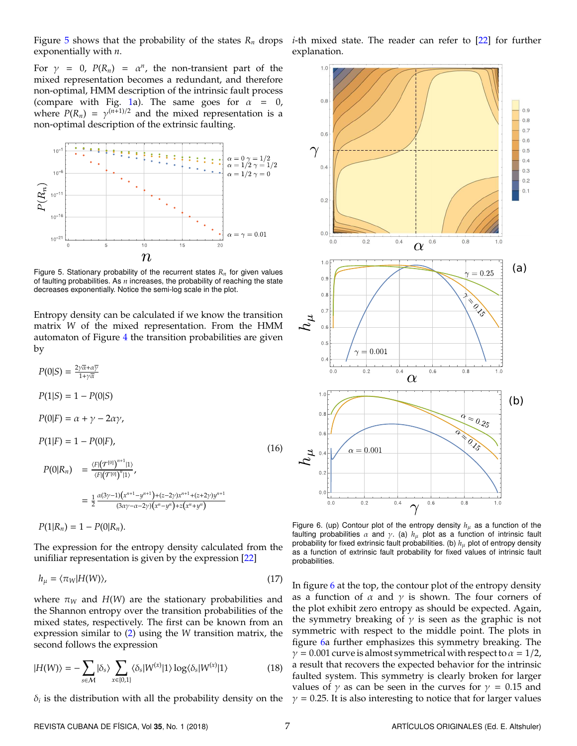Figure [5](#page-4-0) shows that the probability of the states  $R_n$  drops exponentially with *n*.

For  $\gamma = 0$ ,  $P(R_n) = \alpha^n$ , the non-transient part of the mixed representation becomes a redundant, and therefore non-optimal, HMM description of the intrinsic fault process (compare with Fig. [1a](#page-2-0)). The same goes for  $\alpha = 0$ , where  $P(R_n) = \gamma^{(n+1)/2}$  and the mixed representation is a non-optimal description of the extrinsic faulting.

<span id="page-4-0"></span>

Figure 5. Stationary probability of the recurrent states *R<sup>n</sup>* for given values of faulting probabilities. As *n* increases, the probability of reaching the state decreases exponentially. Notice the semi-log scale in the plot.

Entropy density can be calculated if we know the transition matrix *W* of the mixed representation. From the HMM automaton of Figure [4](#page-3-2) the transition probabilities are given by

$$
P(0|S) = \frac{2\gamma\overline{\alpha} + \alpha\overline{\gamma}}{1 + \gamma\overline{\alpha}}
$$
  
\n
$$
P(1|S) = 1 - P(0|S)
$$
  
\n
$$
P(0|F) = \alpha + \gamma - 2\alpha\gamma,
$$
  
\n
$$
P(1|F) = 1 - P(0|F),
$$
  
\n
$$
P(0|R_n) = \frac{\langle F|(T^{[0]})^{n+1}|1\rangle}{\langle F|(T^{[0]})^n|1\rangle},
$$
  
\n
$$
= \frac{1}{2} \frac{\alpha(3\gamma - 1)(x^{n+1} - y^{n+1}) + (z - 2\gamma)x^{n+1} + (z + 2\gamma)y^{n+1}}{(3\alpha\gamma - \alpha - 2\gamma)(x^n - y^n) + z(x^n + y^n)}
$$
  
\n
$$
P(1|R_n) = 1 - P(0|R_n).
$$
  
\n(16)

The expression for the entropy density calculated from the unifiliar representation is given by the expression [\[22\]](#page-6-19)

$$
h_{\mu} = \langle \pi_W | H(W) \rangle, \tag{17}
$$

where  $\pi_W$  and  $H(W)$  are the stationary probabilities and the Shannon entropy over the transition probabilities of the mixed states, respectively. The first can be known from an expression similar to [\(2\)](#page-1-2) using the *W* transition matrix, the second follows the expression

$$
|H(W)\rangle = -\sum_{s \in \mathcal{M}} |\delta_s\rangle \sum_{x \in \{0,1\}} \langle \delta_s |W^{(x)}|1\rangle \log \langle \delta_s |W^{(x)}|1\rangle \tag{18}
$$

 $\delta_i$  is the distribution with all the probability density on the

*i*-th mixed state. The reader can refer to [\[22\]](#page-6-19) for further explanation.

<span id="page-4-1"></span>

Figure 6. (up) Contour plot of the entropy density  $h_{\mu}$  as a function of the faulting probabilities  $\alpha$  and  $\gamma$ . (a)  $h_{\mu}$  plot as a function of intrinsic fault probability for fixed extrinsic fault probabilities. (b)  $h_{\mu}$  plot of entropy density as a function of extrinsic fault probability for fixed values of intrinsic fault probabilities.

In figure [6](#page-4-1) at the top, the contour plot of the entropy density as a function of  $\alpha$  and  $\gamma$  is shown. The four corners of the plot exhibit zero entropy as should be expected. Again, the symmetry breaking of  $\gamma$  is seen as the graphic is not symmetric with respect to the middle point. The plots in figure [6a](#page-4-1) further emphasizes this symmetry breaking. The  $\gamma = 0.001$  curve is almost symmetrical with respect to  $\alpha = 1/2$ , a result that recovers the expected behavior for the intrinsic faulted system. This symmetry is clearly broken for larger values of  $\gamma$  as can be seen in the curves for  $\gamma = 0.15$  and  $\gamma$  = 0.25. It is also interesting to notice that for larger values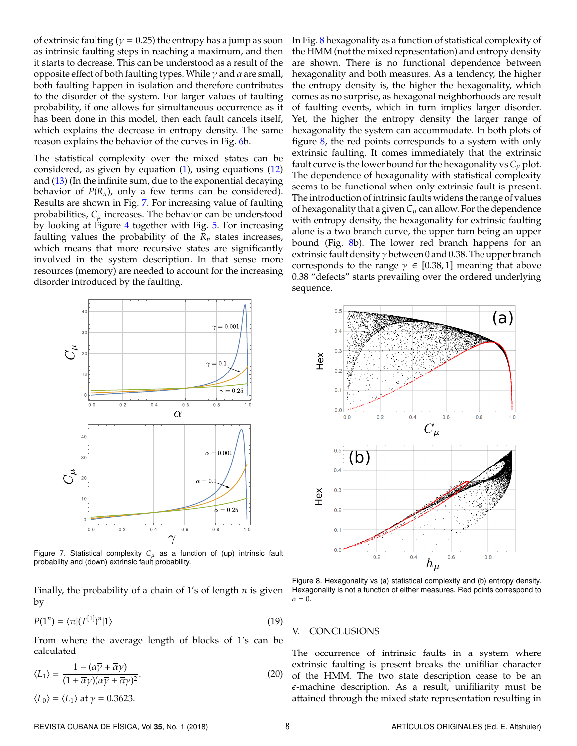of extrinsic faulting ( $\gamma$  = 0.25) the entropy has a jump as soon as intrinsic faulting steps in reaching a maximum, and then it starts to decrease. This can be understood as a result of the opposite effect of both faulting types. While  $γ$  and  $α$  are small, both faulting happen in isolation and therefore contributes to the disorder of the system. For larger values of faulting probability, if one allows for simultaneous occurrence as it has been done in this model, then each fault cancels itself, which explains the decrease in entropy density. The same reason explains the behavior of the curves in Fig. [6b](#page-4-1).

The statistical complexity over the mixed states can be considered, as given by equation [\(1\)](#page-1-0), using equations [\(12\)](#page-3-3) and  $(13)$  (In the infinite sum, due to the exponential decaying behavior of  $P(R_n)$ , only a few terms can be considered). Results are shown in Fig. [7.](#page-5-0) For increasing value of faulting probabilities,  $C_{\mu}$  increases. The behavior can be understood by looking at Figure [4](#page-3-2) together with Fig. [5.](#page-4-0) For increasing faulting values the probability of the  $R_n$  states increases, which means that more recursive states are significantly involved in the system description. In that sense more resources (memory) are needed to account for the increasing disorder introduced by the faulting.

> <span id="page-5-0"></span> $= 0.001$  $5\zeta$  $0.1$  $\gamma=0.25$  $0.4$  $0.\theta$  $0.8$  $\alpha$  $\alpha = 0.001$  $\alpha = 0$  $10$  $\alpha=0.25$  $0.4$  $0.\theta$  $0.8$  $\gamma$

Figure 7. Statistical complexity  $C_{\mu}$  as a function of (up) intrinsic fault probability and (down) extrinsic fault probability.

Finally, the probability of a chain of 1's of length *n* is given by

$$
P(1^n) = \langle \pi | (T^{[1]})^n | 1 \rangle \tag{19}
$$

From where the average length of blocks of 1's can be calculated

$$
\langle L_1 \rangle = \frac{1 - (\alpha \overline{\gamma} + \overline{\alpha} \gamma)}{(1 + \overline{\alpha} \gamma)(\alpha \overline{\gamma} + \overline{\alpha} \gamma)^2}.
$$
 (20)

 $\langle L_0 \rangle = \langle L_1 \rangle$  at  $\gamma = 0.3623$ .

In Fig. [8](#page-5-1) hexagonality as a function of statistical complexity of the HMM (not the mixed representation) and entropy density are shown. There is no functional dependence between hexagonality and both measures. As a tendency, the higher the entropy density is, the higher the hexagonality, which comes as no surprise, as hexagonal neighborhoods are result of faulting events, which in turn implies larger disorder. Yet, the higher the entropy density the larger range of hexagonality the system can accommodate. In both plots of figure  $8$ , the red points corresponds to a system with only extrinsic faulting. It comes immediately that the extrinsic fault curve is the lower bound for the hexagonality vs  $C_{\mu}$  plot. The dependence of hexagonality with statistical complexity seems to be functional when only extrinsic fault is present. The introduction of intrinsic faults widens the range of values of hexagonality that a given  $C_\mu$  can allow. For the dependence with entropy density, the hexagonality for extrinsic faulting alone is a two branch curve, the upper turn being an upper bound (Fig. [8b](#page-5-1)). The lower red branch happens for an extrinsic fault density  $\gamma$  between 0 and 0.38. The upper branch corresponds to the range  $\gamma \in [0.38, 1]$  meaning that above 0.38 "defects" starts prevailing over the ordered underlying sequence.

<span id="page-5-1"></span>

Figure 8. Hexagonality vs (a) statistical complexity and (b) entropy density. Hexagonality is not a function of either measures. Red points correspond to  $\alpha = 0$ .

#### V. CONCLUSIONS

The occurrence of intrinsic faults in a system where extrinsic faulting is present breaks the unifiliar character of the HMM. The two state description cease to be an  $\epsilon$ -machine description. As a result, unifiliarity must be attained through the mixed state representation resulting in